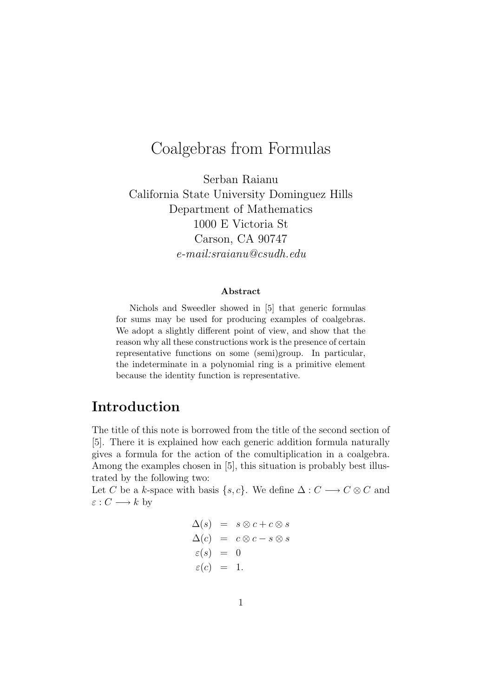# Coalgebras from Formulas

Serban Raianu California State University Dominguez Hills Department of Mathematics 1000 E Victoria St Carson, CA 90747 e-mail:sraianu@csudh.edu

#### Abstract

Nichols and Sweedler showed in [5] that generic formulas for sums may be used for producing examples of coalgebras. We adopt a slightly different point of view, and show that the reason why all these constructions work is the presence of certain representative functions on some (semi)group. In particular, the indeterminate in a polynomial ring is a primitive element because the identity function is representative.

#### Introduction

The title of this note is borrowed from the title of the second section of [5]. There it is explained how each generic addition formula naturally gives a formula for the action of the comultiplication in a coalgebra. Among the examples chosen in [5], this situation is probably best illustrated by the following two:

Let C be a k-space with basis  $\{s, c\}$ . We define  $\Delta : C \longrightarrow C \otimes C$  and  $\varepsilon: C \longrightarrow k$  by

$$
\Delta(s) = s \otimes c + c \otimes s
$$
  
\n
$$
\Delta(c) = c \otimes c - s \otimes s
$$
  
\n
$$
\varepsilon(s) = 0
$$
  
\n
$$
\varepsilon(c) = 1.
$$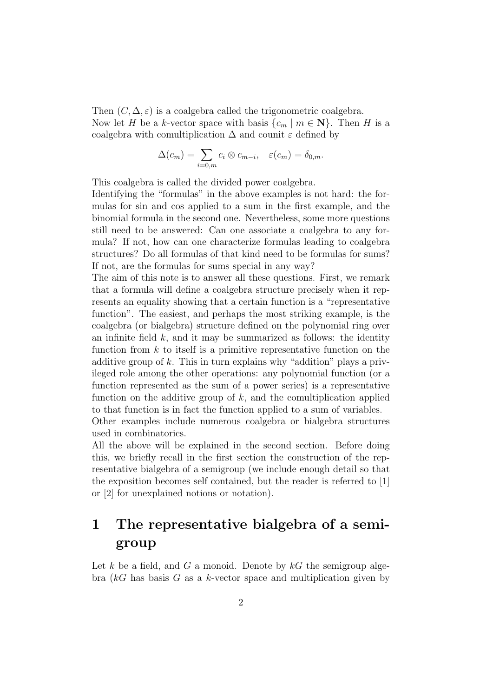Then  $(C, \Delta, \varepsilon)$  is a coalgebra called the trigonometric coalgebra. Now let H be a k-vector space with basis  $\{c_m \mid m \in \mathbb{N}\}\$ . Then H is a coalgebra with comultiplication  $\Delta$  and counit  $\varepsilon$  defined by

$$
\Delta(c_m) = \sum_{i=0,m} c_i \otimes c_{m-i}, \quad \varepsilon(c_m) = \delta_{0,m}.
$$

This coalgebra is called the divided power coalgebra.

Identifying the "formulas" in the above examples is not hard: the formulas for sin and cos applied to a sum in the first example, and the binomial formula in the second one. Nevertheless, some more questions still need to be answered: Can one associate a coalgebra to any formula? If not, how can one characterize formulas leading to coalgebra structures? Do all formulas of that kind need to be formulas for sums? If not, are the formulas for sums special in any way?

The aim of this note is to answer all these questions. First, we remark that a formula will define a coalgebra structure precisely when it represents an equality showing that a certain function is a "representative function". The easiest, and perhaps the most striking example, is the coalgebra (or bialgebra) structure defined on the polynomial ring over an infinite field  $k$ , and it may be summarized as follows: the identity function from  $k$  to itself is a primitive representative function on the additive group of  $k$ . This in turn explains why "addition" plays a privileged role among the other operations: any polynomial function (or a function represented as the sum of a power series) is a representative function on the additive group of  $k$ , and the comultiplication applied to that function is in fact the function applied to a sum of variables.

Other examples include numerous coalgebra or bialgebra structures used in combinatorics.

All the above will be explained in the second section. Before doing this, we briefly recall in the first section the construction of the representative bialgebra of a semigroup (we include enough detail so that the exposition becomes self contained, but the reader is referred to [1] or [2] for unexplained notions or notation).

## 1 The representative bialgebra of a semigroup

Let k be a field, and G a monoid. Denote by  $kG$  the semigroup algebra  $(kG)$  has basis G as a k-vector space and multiplication given by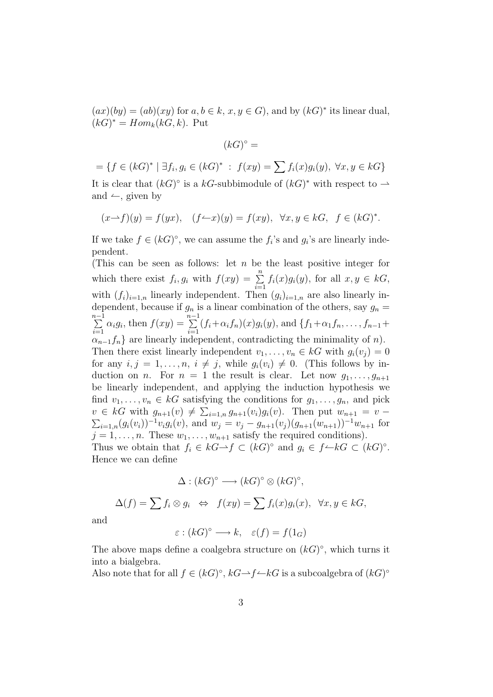$(ax)(by) = (ab)(xy)$  for  $a, b \in k$ ,  $x, y \in G$ , and by  $(kG)^*$  its linear dual,  $(kG)^* = Hom_k(kG, k)$ . Put

$$
(kG)^{\circ} =
$$

$$
= \{ f \in (kG)^* \mid \exists f_i, g_i \in (kG)^* : f(xy) = \sum f_i(x)g_i(y), \ \forall x, y \in kG \}
$$

It is clear that  $(kG)^\circ$  is a kG-subbimodule of  $(kG)^*$  with respect to  $\rightarrow$ and  $\leftarrow$ , given by

$$
(x \rightarrow f)(y) = f(yx), \quad (f \rightarrow x)(y) = f(xy), \quad \forall x, y \in kG, \quad f \in (kG)^*.
$$

If we take  $f \in (kG)^\circ$ , we can assume the  $f_i$ 's and  $g_i$ 's are linearly independent.

(This can be seen as follows: let  $n$  be the least positive integer for which there exist  $f_i, g_i$  with  $f(xy) = \sum_{i=1}^n f_i(x)g_i(y)$ , for all  $x, y \in kG$ , with  $(f_i)_{i=1,n}$  linearly independent. Then  $(g_i)_{i=1,n}$  are also linearly independent, because if  $g_n$  is a linear combination of the others, say  $g_n =$  $\sum_{n=1}^{n-1}$  $\sum_{i=1}^{n-1} \alpha_i g_i$ , then  $f(xy) = \sum_{i=1}^{n-1}$  $\sum_{i=1} (f_i + \alpha_i f_n)(x) g_i(y)$ , and  $\{f_1 + \alpha_1 f_n, \dots, f_{n-1} +$  $\alpha_{n-1}f_n$  are linearly independent, contradicting the minimality of n). Then there exist linearly independent  $v_1, \ldots, v_n \in kG$  with  $g_i(v_i) = 0$ for any  $i, j = 1, \ldots, n, i \neq j$ , while  $g_i(v_i) \neq 0$ . (This follows by induction on *n*. For  $n = 1$  the result is clear. Let now  $g_1, \ldots, g_{n+1}$ be linearly independent, and applying the induction hypothesis we find  $v_1, \ldots, v_n \in kG$  satisfying the conditions for  $g_1, \ldots, g_n$ , and pick  $v \in kG$  with  $g_{n+1}(v) \neq \sum_{i=1,n} g_{n+1}(v_i) g_i(v)$ . Then put  $w_{n+1} = v \sum_{i=1,n}(g_i(v_i))^{-1}v_ig_i(v)$ , and  $w_j = v_j - g_{n+1}(v_j)(g_{n+1}(w_{n+1}))^{-1}w_{n+1}$  for  $j = 1, \ldots, n$ . These  $w_1, \ldots, w_{n+1}$  satisfy the required conditions). Thus we obtain that  $f_i \in kG \to f \subset (kG)^\circ$  and  $g_i \in f \to kG \subset (kG)^\circ$ . Hence we can define

$$
\Delta : (kG)^{\circ} \longrightarrow (kG)^{\circ} \otimes (kG)^{\circ},
$$
  

$$
\Delta(f) = \sum f_i \otimes g_i \iff f(xy) = \sum f_i(x)g_i(x), \quad \forall x, y \in kG,
$$

and

$$
\varepsilon : (kG)^{\circ} \longrightarrow k, \quad \varepsilon(f) = f(1_G)
$$

The above maps define a coalgebra structure on  $(k)^\circ$ , which turns it into a bialgebra.

Also note that for all  $f \in (k)^\circ$ ,  $kG \rightarrow f \rightarrow kG$  is a subcoalgebra of  $(k)^\circ$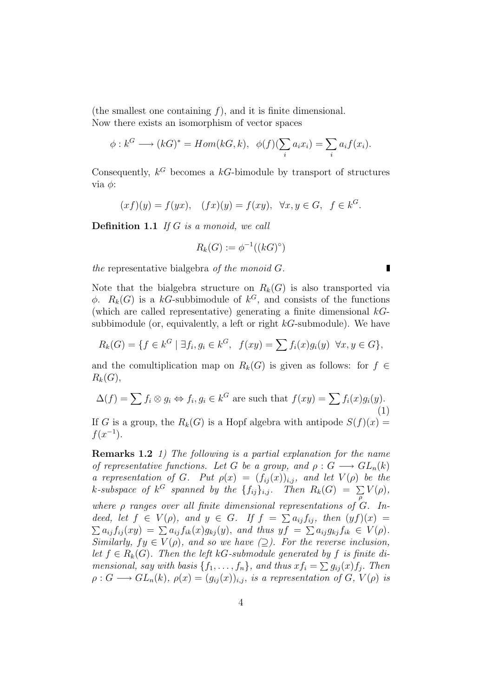(the smallest one containing  $f$ ), and it is finite dimensional. Now there exists an isomorphism of vector spaces

$$
\phi: k^G \longrightarrow (kG)^* = Hom(kG, k), \ \ \phi(f)(\sum_i a_i x_i) = \sum_i a_i f(x_i).
$$

Consequently,  $k^G$  becomes a  $kG$ -bimodule by transport of structures via  $φ$ :

$$
(xf)(y) = f(yx), \quad (fx)(y) = f(xy), \quad \forall x, y \in G, \quad f \in k^G.
$$

**Definition 1.1** If  $G$  is a monoid, we call

$$
R_k(G) := \phi^{-1}((kG)^\circ)
$$

the representative bialgebra of the monoid G.

П

Note that the bialgebra structure on  $R_k(G)$  is also transported via φ.  $R_k(G)$  is a kG-subbimodule of  $k<sup>G</sup>$ , and consists of the functions (which are called representative) generating a finite dimensional  $kG$ subbimodule (or, equivalently, a left or right  $kG$ -submodule). We have

$$
R_k(G) = \{ f \in k^G \mid \exists f_i, g_i \in k^G, \ f(xy) = \sum f_i(x)g_i(y) \ \forall x, y \in G \},
$$

and the comultiplication map on  $R_k(G)$  is given as follows: for  $f \in$  $R_k(G)$ ,

$$
\Delta(f) = \sum f_i \otimes g_i \Leftrightarrow f_i, g_i \in k^G \text{ are such that } f(xy) = \sum f_i(x)g_i(y).
$$
\n(1)

If G is a group, the  $R_k(G)$  is a Hopf algebra with antipode  $S(f)(x) =$  $f(x^{-1})$ .

Remarks 1.2 1) The following is a partial explanation for the name of representative functions. Let G be a group, and  $\rho: G \longrightarrow GL_n(k)$ a representation of G. Put  $\rho(x) = (f_{ij}(x))_{i,j}$ , and let  $V(\rho)$  be the k-subspace of  $k^G$  spanned by the  $\{f_{ij}\}_{i,j}$ . Then  $R_k(G) = \sum_{\rho} V(\rho)$ , where  $\rho$  ranges over all finite dimensional representations of  $G$ . Indeed, let  $f \in V(\rho)$ , and  $y \in G$ . If  $f = \sum a_{ij} f_{ij}$ , then  $(yf)(x) =$  $\sum a_{ij} f_{ij}(xy) = \sum a_{ij} f_{ik}(x) g_{kj}(y)$ , and thus  $yf = \sum a_{ij} g_{kj} f_{ik} \in V(\rho)$ . Similarly,  $fy \in V(\rho)$ , and so we have  $(\supseteq)$ . For the reverse inclusion, let  $f \in R_k(G)$ . Then the left kG-submodule generated by f is finite dimensional, say with basis  $\{f_1, \ldots, f_n\}$ , and thus  $xf_i = \sum g_{ij}(x) f_j$ . Then  $\rho: G \longrightarrow GL_n(k)$ ,  $\rho(x) = (g_{ij}(x))_{i,j}$ , is a representation of G,  $V(\rho)$  is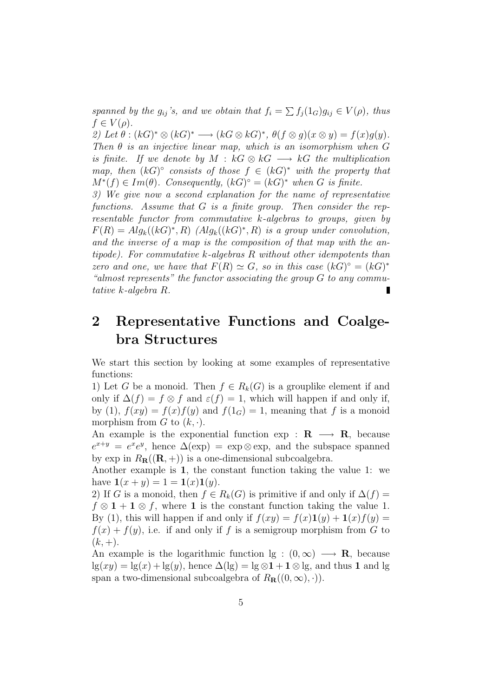spanned by the  $g_{ij}$ 's, and we obtain that  $f_i = \sum f_j(1_G)g_{ij} \in V(\rho)$ , thus  $f \in V(\rho)$ .

2) Let  $\theta : (kG)^* \otimes (kG)^* \longrightarrow (kG \otimes kG)^*, \theta (f \otimes g)(x \otimes y) = f(x)g(y).$ Then  $\theta$  is an injective linear map, which is an isomorphism when G is finite. If we denote by  $M : kG \otimes kG \longrightarrow kG$  the multiplication map, then  $(kG)^\circ$  consists of those  $f \in (kG)^*$  with the property that  $M^*(f) \in Im(\theta)$ . Consequently,  $(kG)^{\circ} = (kG)^*$  when G is finite.

3) We give now a second explanation for the name of representative functions. Assume that G is a finite group. Then consider the representable functor from commutative k-algebras to groups, given by  $F(R) = Alg_k((kG)^*, R)$   $(Alg_k((kG)^*, R)$  is a group under convolution, and the inverse of a map is the composition of that map with the antipode). For commutative k-algebras R without other idempotents than zero and one, we have that  $F(R) \simeq G$ , so in this case  $(kG)^{\circ} = (kG)^*$ "almost represents" the functor associating the group G to any commutative k-algebra R.

### 2 Representative Functions and Coalgebra Structures

We start this section by looking at some examples of representative functions:

1) Let G be a monoid. Then  $f \in R_k(G)$  is a grouplike element if and only if  $\Delta(f) = f \otimes f$  and  $\varepsilon(f) = 1$ , which will happen if and only if, by (1),  $f(xy) = f(x)f(y)$  and  $f(1_G) = 1$ , meaning that f is a monoid morphism from G to  $(k, \cdot)$ .

An example is the exponential function  $\exp : \mathbf{R} \longrightarrow \mathbf{R}$ , because  $e^{x+y} = e^x e^y$ , hence  $\Delta(\exp) = \exp \otimes \exp$ , and the subspace spanned by exp in  $R_{\mathbf{R}}((\mathbf{R}, +))$  is a one-dimensional subcoalgebra.

Another example is 1, the constant function taking the value 1: we have  $\mathbf{1}(x+y) = 1 = \mathbf{1}(x)\mathbf{1}(y)$ .

2) If G is a monoid, then  $f \in R_k(G)$  is primitive if and only if  $\Delta(f)$  $f \otimes 1 + 1 \otimes f$ , where 1 is the constant function taking the value 1. By (1), this will happen if and only if  $f(xy) = f(x)1(y) + 1(x)f(y) =$  $f(x) + f(y)$ , i.e. if and only if f is a semigroup morphism from G to  $(k, +)$ .

An example is the logarithmic function lg :  $(0, \infty) \longrightarrow \mathbf{R}$ , because  $\lg(xy) = \lg(x) + \lg(y)$ , hence  $\Delta(\lg) = \lg \otimes 1 + 1 \otimes \lg$ , and thus 1 and lg span a two-dimensional subcoalgebra of  $R_{\mathbf{R}}((0,\infty),\cdot)$ .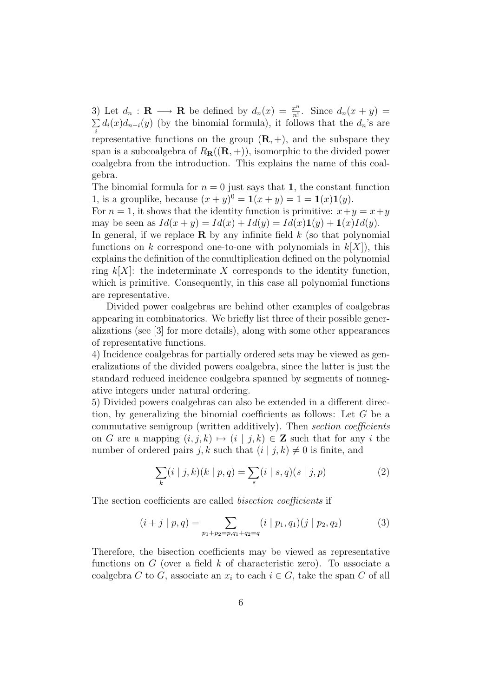3) Let  $d_n : \mathbf{R} \longrightarrow \mathbf{R}$  be defined by  $d_n(x) = \frac{x^n}{n!}$  $rac{x^n}{n!}$ . Since  $d_n(x+y)$  = P  $\sum_{i} d_i(x) d_{n-i}(y)$  (by the binomial formula), it follows that the  $d_n$ 's are

representative functions on the group  $(\mathbf{R}, +)$ , and the subspace they span is a subcoalgebra of  $R_{\mathbf{R}}((\mathbf{R}, +))$ , isomorphic to the divided power coalgebra from the introduction. This explains the name of this coalgebra.

The binomial formula for  $n = 0$  just says that 1, the constant function 1, is a grouplike, because  $(x + y)^0 = \mathbf{1}(x + y) = 1 = \mathbf{1}(x)\mathbf{1}(y)$ .

For  $n = 1$ , it shows that the identity function is primitive:  $x + y = x + y$ may be seen as  $Id(x + y) = Id(x) + Id(y) = Id(x)1(y) + 1(x)Id(y)$ .

In general, if we replace  $\bf{R}$  by any infinite field k (so that polynomial functions on k correspond one-to-one with polynomials in  $k[X]$ , this explains the definition of the comultiplication defined on the polynomial ring  $k[X]$ : the indeterminate X corresponds to the identity function, which is primitive. Consequently, in this case all polynomial functions are representative.

Divided power coalgebras are behind other examples of coalgebras appearing in combinatorics. We briefly list three of their possible generalizations (see [3] for more details), along with some other appearances of representative functions.

4) Incidence coalgebras for partially ordered sets may be viewed as generalizations of the divided powers coalgebra, since the latter is just the standard reduced incidence coalgebra spanned by segments of nonnegative integers under natural ordering.

5) Divided powers coalgebras can also be extended in a different direction, by generalizing the binomial coefficients as follows: Let G be a commutative semigroup (written additively). Then section coefficients on G are a mapping  $(i, j, k) \mapsto (i | j, k) \in \mathbb{Z}$  such that for any i the number of ordered pairs j, k such that  $(i | j, k) \neq 0$  is finite, and

$$
\sum_{k} (i \mid j, k)(k \mid p, q) = \sum_{s} (i \mid s, q)(s \mid j, p) \tag{2}
$$

The section coefficients are called *bisection coefficients* if

$$
(i+j | p, q) = \sum_{p_1+p_2=p, q_1+q_2=q} (i | p_1, q_1)(j | p_2, q_2)
$$
 (3)

Therefore, the bisection coefficients may be viewed as representative functions on  $G$  (over a field  $k$  of characteristic zero). To associate a coalgebra C to G, associate an  $x_i$  to each  $i \in G$ , take the span C of all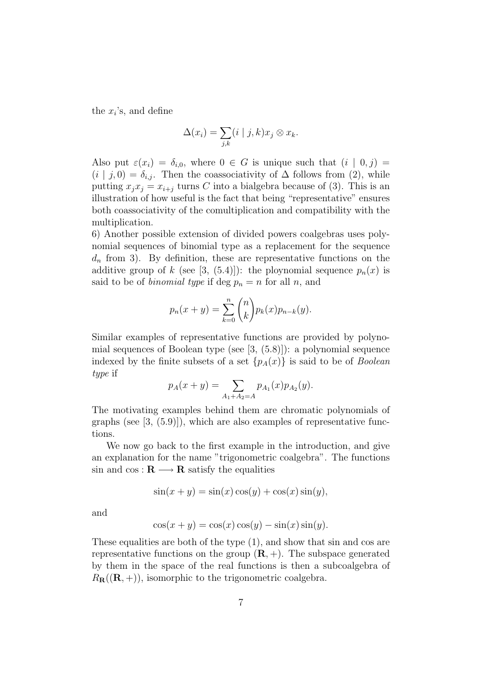the  $x_i$ 's, and define

$$
\Delta(x_i) = \sum_{j,k} (i \mid j, k) x_j \otimes x_k.
$$

Also put  $\varepsilon(x_i) = \delta_{i,0}$ , where  $0 \in G$  is unique such that  $(i | 0, j) =$  $(i | j, 0) = \delta_{i,j}$ . Then the coassociativity of  $\Delta$  follows from (2), while putting  $x_i x_j = x_{i+j}$  turns C into a bialgebra because of (3). This is an illustration of how useful is the fact that being "representative" ensures both coassociativity of the comultiplication and compatibility with the multiplication.

6) Another possible extension of divided powers coalgebras uses polynomial sequences of binomial type as a replacement for the sequence  $d_n$  from 3). By definition, these are representative functions on the additive group of k (see [3, (5.4)]): the ploynomial sequence  $p_n(x)$  is said to be of *binomial type* if deg  $p_n = n$  for all n, and

$$
p_n(x + y) = \sum_{k=0}^n \binom{n}{k} p_k(x) p_{n-k}(y).
$$

Similar examples of representative functions are provided by polynomial sequences of Boolean type (see [3, (5.8)]): a polynomial sequence indexed by the finite subsets of a set  $\{p_A(x)\}\$ is said to be of *Boolean* type if

$$
p_A(x + y) = \sum_{A_1 + A_2 = A} p_{A_1}(x) p_{A_2}(y).
$$

The motivating examples behind them are chromatic polynomials of graphs (see  $[3, (5.9)]$ ), which are also examples of representative functions.

We now go back to the first example in the introduction, and give an explanation for the name "trigonometric coalgebra". The functions sin and cos :  $\mathbf{R} \longrightarrow \mathbf{R}$  satisfy the equalities

$$
\sin(x+y) = \sin(x)\cos(y) + \cos(x)\sin(y),
$$

and

$$
\cos(x+y) = \cos(x)\cos(y) - \sin(x)\sin(y).
$$

These equalities are both of the type (1), and show that sin and cos are representative functions on the group  $(\mathbf{R}, +)$ . The subspace generated by them in the space of the real functions is then a subcoalgebra of  $R_{\mathbf{R}}((\mathbf{R}, +))$ , isomorphic to the trigonometric coalgebra.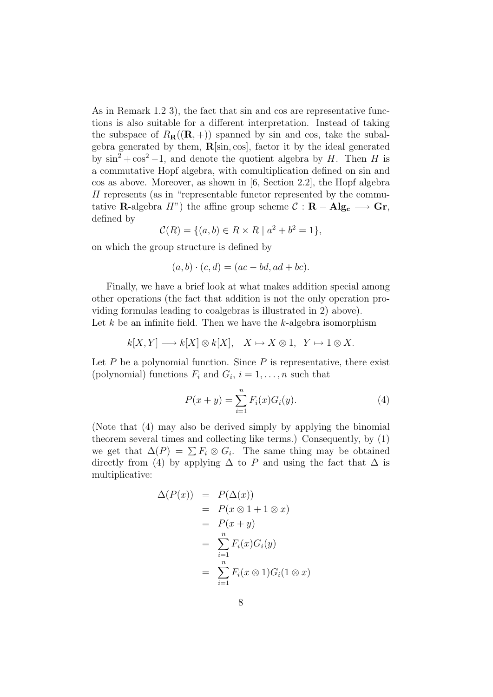As in Remark 1.2 3), the fact that sin and cos are representative functions is also suitable for a different interpretation. Instead of taking the subspace of  $R_{\mathbf{R}}((\mathbf{R}, +))$  spanned by sin and cos, take the subalgebra generated by them,  $R[\sin,\cos]$ , factor it by the ideal generated by  $\sin^2 + \cos^2 - 1$ , and denote the quotient algebra by H. Then H is a commutative Hopf algebra, with comultiplication defined on sin and cos as above. Moreover, as shown in [6, Section 2.2], the Hopf algebra H represents (as in "representable functor represented by the commutative **R**-algebra  $H$ ") the affine group scheme  $C : \mathbf{R} - \mathbf{Alg}_{\mathbf{c}} \longrightarrow \mathbf{Gr}$ , defined by

$$
\mathcal{C}(R) = \{(a, b) \in R \times R \mid a^2 + b^2 = 1\},\
$$

on which the group structure is defined by

$$
(a, b) \cdot (c, d) = (ac - bd, ad + bc).
$$

Finally, we have a brief look at what makes addition special among other operations (the fact that addition is not the only operation providing formulas leading to coalgebras is illustrated in 2) above).

Let  $k$  be an infinite field. Then we have the  $k$ -algebra isomorphism

$$
k[X, Y] \longrightarrow k[X] \otimes k[X], \quad X \mapsto X \otimes 1, \quad Y \mapsto 1 \otimes X.
$$

Let  $P$  be a polynomial function. Since  $P$  is representative, there exist (polynomial) functions  $F_i$  and  $G_i$ ,  $i = 1, ..., n$  such that

$$
P(x + y) = \sum_{i=1}^{n} F_i(x) G_i(y).
$$
 (4)

(Note that (4) may also be derived simply by applying the binomial theorem several times and collecting like terms.) Consequently, by (1) we get that  $\Delta(P) = \sum F_i \otimes G_i$ . The same thing may be obtained directly from (4) by applying  $\Delta$  to P and using the fact that  $\Delta$  is multiplicative:

$$
\Delta(P(x)) = P(\Delta(x))
$$
  
=  $P(x \otimes 1 + 1 \otimes x)$   
=  $P(x + y)$   
=  $\sum_{i=1}^{n} F_i(x)G_i(y)$   
=  $\sum_{i=1}^{n} F_i(x \otimes 1)G_i(1 \otimes x)$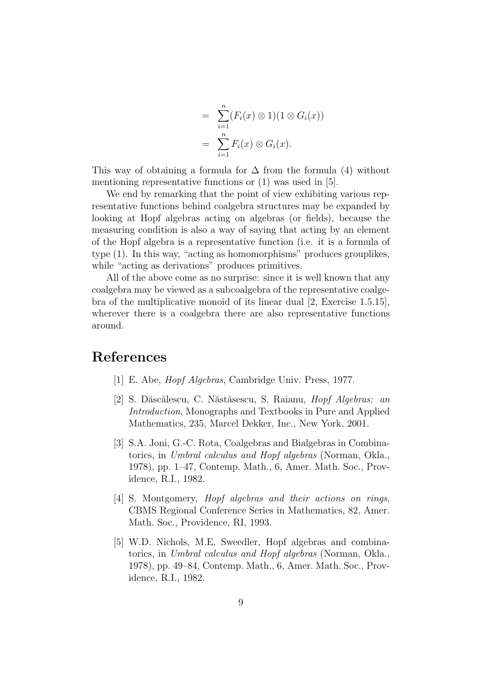$$
= \sum_{i=1}^{n} (F_i(x) \otimes 1)(1 \otimes G_i(x))
$$
  

$$
= \sum_{i=1}^{n} F_i(x) \otimes G_i(x).
$$

This way of obtaining a formula for  $\Delta$  from the formula (4) without mentioning representative functions or (1) was used in [5].

We end by remarking that the point of view exhibiting various representative functions behind coalgebra structures may be expanded by looking at Hopf algebras acting on algebras (or fields), because the measuring condition is also a way of saying that acting by an element of the Hopf algebra is a representative function (i.e. it is a formula of type (1). In this way, "acting as homomorphisms" produces grouplikes, while "acting as derivations" produces primitives.

All of the above come as no surprise: since it is well known that any coalgebra may be viewed as a subcoalgebra of the representative coalgebra of the multiplicative monoid of its linear dual [2, Exercise 1.5.15], wherever there is a coalgebra there are also representative functions around.

#### References

- [1] E. Abe, Hopf Algebras, Cambridge Univ. Press, 1977.
- [2] S. Dăscălescu, C. Năstăsescu, S. Raianu, *Hopf Algebras: an* Introduction, Monographs and Textbooks in Pure and Applied Mathematics, 235, Marcel Dekker, Inc., New York, 2001.
- [3] S.A. Joni, G.-C. Rota, Coalgebras and Bialgebras in Combinatorics, in Umbral calculus and Hopf algebras (Norman, Okla., 1978), pp. 1–47, Contemp. Math., 6, Amer. Math. Soc., Providence, R.I., 1982.
- [4] S. Montgomery, Hopf algebras and their actions on rings, CBMS Regional Conference Series in Mathematics, 82, Amer. Math. Soc., Providence, RI, 1993.
- [5] W.D. Nichols, M.E. Sweedler, Hopf algebras and combinatorics, in Umbral calculus and Hopf algebras (Norman, Okla., 1978), pp. 49–84, Contemp. Math., 6, Amer. Math. Soc., Providence, R.I., 1982.